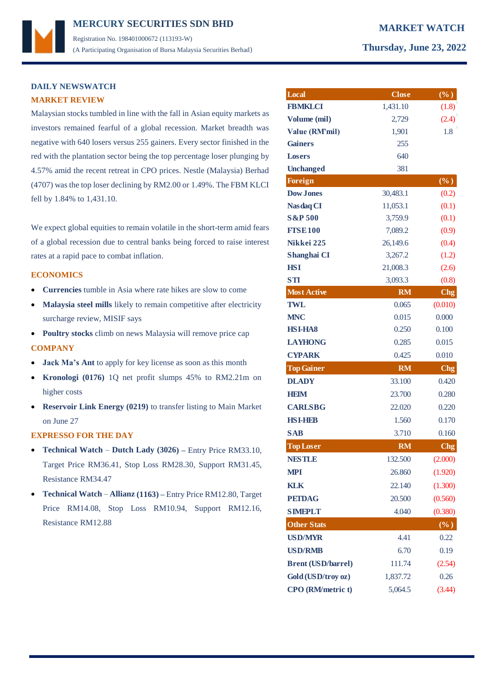## **MERCURY SECURITIES SDN BHD** Registration No. 198401000672 (113193-W) (A Participating Organisation of Bursa Malaysia Securities Berhad) **Thursday, June 23, 2022**

## **DAILY NEWSWATCH MARKET REVIEW**

Malaysian stocks tumbled in line with the fall in Asian equity markets as investors remained fearful of a global recession. Market breadth was negative with 640 losers versus 255 gainers. Every sector finished in the red with the plantation sector being the top percentage loser plunging by 4.57% amid the recent retreat in CPO prices. Nestle (Malaysia) Berhad (4707) was the top loser declining by RM2.00 or 1.49%. The FBM KLCI fell by 1.84% to 1,431.10.

We expect global equities to remain volatile in the short-term amid fears of a global recession due to central banks being forced to raise interest rates at a rapid pace to combat inflation.

## **ECONOMICS**

- **Currencies** tumble in Asia where rate hikes are slow to come
- **Malaysia steel mills** likely to remain competitive after electricity surcharge review, MISIF says
- **Poultry stocks** climb on news Malaysia will remove price cap

## **COMPANY**

- **Jack Ma's Ant** to apply for key license as soon as this month
- **Kronologi (0176)** 1Q net profit slumps 45% to RM2.21m on higher costs
- **Reservoir Link Energy (0219)** to transfer listing to Main Market on June 27

## **EXPRESSO FOR THE DAY**

- **Technical Watch Dutch Lady (3026) –** Entry Price RM33.10, Target Price RM36.41, Stop Loss RM28.30, Support RM31.45, Resistance RM34.47
- **Technical Watch Allianz (1163) –** Entry Price RM12.80, Target Price RM14.08, Stop Loss RM10.94, Support RM12.16, Resistance RM12.88

|  | <b>MARKET WATCH</b> |
|--|---------------------|
|  |                     |

| Local                     | <b>Close</b> | $(\%)$     |
|---------------------------|--------------|------------|
| <b>FBMKLCI</b>            | 1,431.10     | (1.8)      |
| Volume (mil)              | 2,729        | (2.4)      |
| Value (RM'mil)            | 1,901        | 1.8        |
| <b>Gainers</b>            | 255          |            |
| <b>Losers</b>             | 640          |            |
| <b>Unchanged</b>          | 381          |            |
| <b>Foreign</b>            |              | $(\%)$     |
| <b>Dow Jones</b>          | 30,483.1     | (0.2)      |
| <b>Nasdaq CI</b>          | 11,053.1     | (0.1)      |
| <b>S&amp;P 500</b>        | 3,759.9      | (0.1)      |
| <b>FISE100</b>            | 7,089.2      | (0.9)      |
| Nikkei 225                | 26,149.6     | (0.4)      |
| Shanghai CI               | 3,267.2      | (1.2)      |
| <b>HSI</b>                | 21,008.3     | (2.6)      |
| <b>STI</b>                | 3,093.3      | (0.8)      |
| <b>Most Active</b>        | <b>RM</b>    | <b>Chg</b> |
| <b>TWL</b>                | 0.065        | (0.010)    |
| <b>MNC</b>                | 0.015        | 0.000      |
| <b>HSI-HA8</b>            | 0.250        | 0.100      |
| <b>LAYHONG</b>            | 0.285        | 0.015      |
| <b>CYPARK</b>             | 0.425        | 0.010      |
| <b>Top Gainer</b>         | <b>RM</b>    | $C$ hg     |
| <b>DLADY</b>              | 33.100       | 0.420      |
| <b>HEIM</b>               | 23.700       | 0.280      |
| <b>CARLSBG</b>            | 22.020       | 0.220      |
| <b>HSI-HBB</b>            | 1.560        | 0.170      |
| <b>SAB</b>                | 3.710        | 0.160      |
| <b>Top Loser</b>          | <b>RM</b>    | Chg        |
| <b>NESTLE</b>             | 132.500      | (2.000)    |
| <b>MPI</b>                | 26.860       | (1.920)    |
| <b>KLK</b>                | 22.140       | (1.300)    |
| <b>PETDAG</b>             | 20.500       | (0.560)    |
| <b>SIMEPLT</b>            | 4.040        | (0.380)    |
| <b>Other Stats</b>        |              | $(\%)$     |
| <b>USD/MYR</b>            | 4.41         | 0.22       |
| <b>USD/RMB</b>            | 6.70         | 0.19       |
| <b>Brent (USD/barrel)</b> | 111.74       | (2.54)     |
| Gold (USD/troy oz)        | 1,837.72     | 0.26       |
|                           |              | (3.44)     |
| CPO (RM/metric t)         | 5,064.5      |            |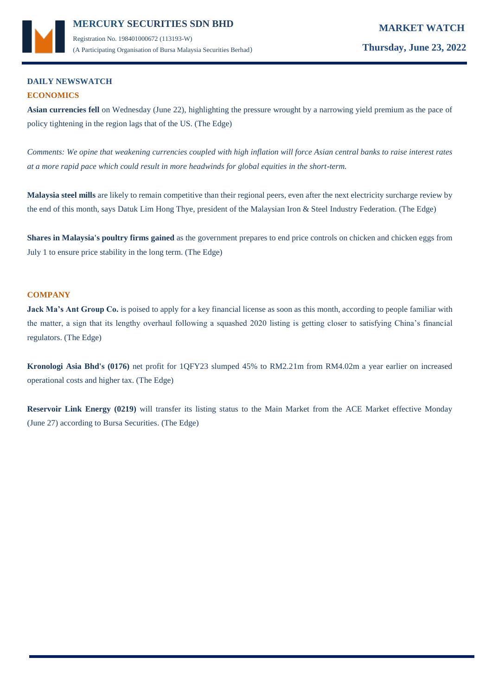

## **DAILY NEWSWATCH ECONOMICS**

Asian currencies fell on Wednesday (June 22), highlighting the pressure wrought by a narrowing yield premium as the pace of policy tightening in the region lags that of the US. (The Edge)

*Comments: We opine that weakening currencies coupled with high inflation will force Asian central banks to raise interest rates at a more rapid pace which could result in more headwinds for global equities in the short-term.*

**Malaysia steel mills** are likely to remain competitive than their regional peers, even after the next electricity surcharge review by the end of this month, says Datuk Lim Hong Thye, president of the Malaysian Iron & Steel Industry Federation. (The Edge)

**Shares in Malaysia's poultry firms gained** as the government prepares to end price controls on chicken and chicken eggs from July 1 to ensure price stability in the long term. (The Edge)

## **COMPANY**

**Jack Ma's Ant Group Co.** is poised to apply for a key financial license as soon as this month, according to people familiar with the matter, a sign that its lengthy overhaul following a squashed 2020 listing is getting closer to satisfying China's financial regulators. (The Edge)

**Kronologi Asia Bhd's (0176)** net profit for 1QFY23 slumped 45% to RM2.21m from RM4.02m a year earlier on increased operational costs and higher tax. (The Edge)

**Reservoir Link Energy (0219)** will transfer its listing status to the Main Market from the ACE Market effective Monday (June 27) according to Bursa Securities. (The Edge)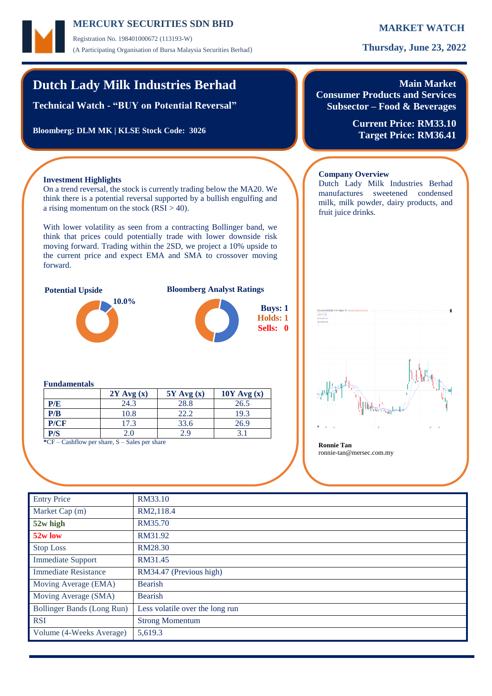## **MERCURY MARKET WATCH SECURITIES SDN BHD**

Registration No. 198401000672 (113193-W) (A Participating Organisation of Bursa Malaysia Securities Berhad) **Thursday, June 23, 2022**

On a trend reversal, the stock is currently trading below the MA20. We think there is a potential reversal supported by a bullish engulfing and

With lower volatility as seen from a contracting Bollinger band, we think that prices could potentially trade with lower downside risk moving forward. Trading within the 2SD, we project a 10% upside to the current price and expect EMA and SMA to crossover moving

**Potential Upside Bloomberg Analyst Ratings**

**P/E** 24.3 28.8 26.5 **P/B** 10.8 22.2 19.3 **P/CF** 17.3 33.6 26.9 **P/S** 2.0 2.9 3.1

**2Y Avg (x) 5Y Avg (x) 10Y Avg (x)**

# **Dutch Lady Milk Industries Berhad**

**Technical Watch - "BUY on Potential Reversal"**

**Bloomberg: DLM MK | KLSE Stock Code: 3026**

a rising momentum on the stock  $(RSI > 40)$ .

**10.0%**

**Investment Highlights**

forward.

**Fundamentals**

**Main Market Consumer Products and Services Subsector – Food & Beverages**

> **Current Price: RM33.10 Target Price: RM36.41**

### **Company Overview**

Dutch Lady Milk Industries Berhad manufactures sweetened condensed milk, milk powder, dairy products, and fruit juice drinks.



\*CF – Cashflow per share, S – Sales per share **Ronnie Tan** 

ronnie-tan@mersec.com.my

| <b>Entry Price</b>          | RM33.10                         |
|-----------------------------|---------------------------------|
| Market Cap (m)              | RM2,118.4                       |
| 52w high                    | RM35.70                         |
| 52w low                     | RM31.92                         |
| <b>Stop Loss</b>            | RM28.30                         |
| <b>Immediate Support</b>    | RM31.45                         |
| <b>Immediate Resistance</b> | RM34.47 (Previous high)         |
| Moving Average (EMA)        | Bearish                         |
| Moving Average (SMA)        | Bearish                         |
| Bollinger Bands (Long Run)  | Less volatile over the long run |
| <b>RSI</b>                  | <b>Strong Momentum</b>          |
| Volume (4-Weeks Average)    | 5,619.3                         |
|                             |                                 |

**Buys: 1 Holds: 1 Sells: 0**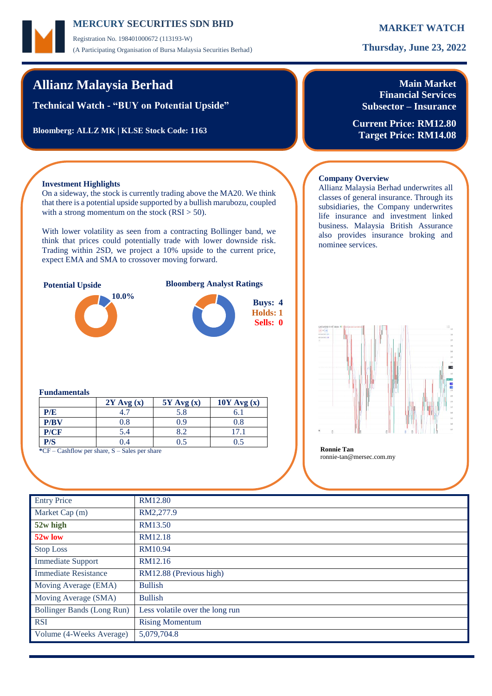## **MERCURY MARKET WATCH SECURITIES SDN BHD**

Registration No. 198401000672 (113193-W) (A Participating Organisation of Bursa Malaysia Securities Berhad) **Thursday, June 23, 2022**

# **Allianz Malaysia Berhad**

**Technical Watch - "BUY on Potential Upside"**

**Bloomberg: ALLZ MK | KLSE Stock Code: 1163**



**Current Price: RM12.80 Target Price: RM14.08**

Allianz Malaysia Berhad underwrites all classes of general insurance. Through its subsidiaries, the Company underwrites life insurance and investment linked business. Malaysia British Assurance also provides insurance broking and

## **Investment Highlights**

On a sideway, the stock is currently trading above the MA20. We think that there is a potential upside supported by a bullish marubozu, coupled with a strong momentum on the stock  $(RSI > 50)$ .

With lower volatility as seen from a contracting Bollinger band, we think that prices could potentially trade with lower downside risk. Trading within 2SD, we project a 10% upside to the current price, expect EMA and SMA to crossover moving forward.







### **Fundamentals**

|      | $2Y$ Avg $(x)$ | $5Y$ Avg $(x)$ | $10Y$ Avg $(x)$ |
|------|----------------|----------------|-----------------|
| P/E  |                | 5.8            |                 |
| P/BV | 0.8            | 0.9            | 0.8             |
| P/CF | 5.4            | 8.2            | 17.1            |
| P/S  | 0.4            | 9.5            |                 |

**\***CF – Cashflow per share, S – Sales per share **Ronnie Tan**

## ronnie-tan@mersec.com.my

**Company Overview**

nominee services.

| <b>Entry Price</b>          | RM12.80                         |
|-----------------------------|---------------------------------|
| Market Cap (m)              | RM2,277.9                       |
| 52w high                    | RM13.50                         |
| 52w low                     | RM12.18                         |
| <b>Stop Loss</b>            | RM10.94                         |
| <b>Immediate Support</b>    | RM12.16                         |
| <b>Immediate Resistance</b> | RM12.88 (Previous high)         |
| Moving Average (EMA)        | <b>Bullish</b>                  |
| Moving Average (SMA)        | <b>Bullish</b>                  |
| Bollinger Bands (Long Run)  | Less volatile over the long run |
| <b>RSI</b>                  | <b>Rising Momentum</b>          |
| Volume (4-Weeks Average)    | 5,079,704.8                     |
|                             |                                 |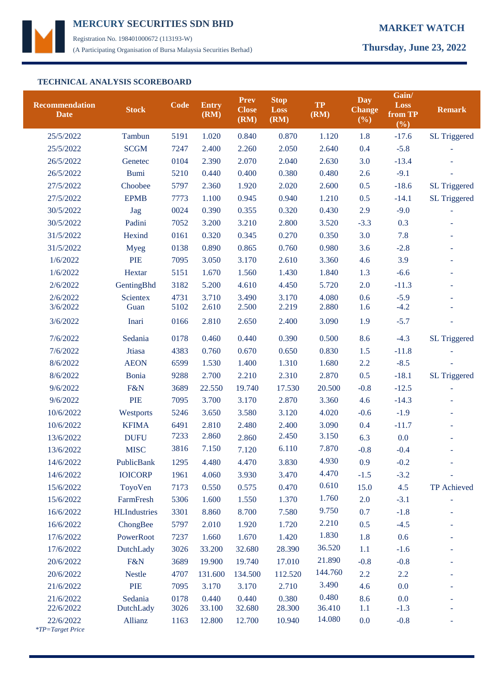

Registration No. 198401000672 (113193-W) (A Participating Organisation of Bursa Malaysia Securities Berhad) **Thursday, June 23, 2022**

## **TECHNICAL ANALYSIS SCOREBOARD**

| Recommendation<br><b>Date</b>        | <b>Stock</b>         | Code         | Entry<br>(RM)   | <b>Prev</b><br><b>Close</b><br>(RM) | <b>Stop</b><br>Loss<br>(RM) | <b>TP</b><br>(RM) | Day<br><b>Change</b><br>(%) | Gain/<br><b>Loss</b><br>from TP<br>(%) | <b>Remark</b>            |
|--------------------------------------|----------------------|--------------|-----------------|-------------------------------------|-----------------------------|-------------------|-----------------------------|----------------------------------------|--------------------------|
| 25/5/2022                            | Tambun               | 5191         | 1.020           | 0.840                               | 0.870                       | 1.120             | 1.8                         | $-17.6$                                | <b>SL Triggered</b>      |
| 25/5/2022                            | <b>SCGM</b>          | 7247         | 2.400           | 2.260                               | 2.050                       | 2.640             | 0.4                         | $-5.8$                                 |                          |
| 26/5/2022                            | Genetec              | 0104         | 2.390           | 2.070                               | 2.040                       | 2.630             | 3.0                         | $-13.4$                                |                          |
| 26/5/2022                            | <b>Bumi</b>          | 5210         | 0.440           | 0.400                               | 0.380                       | 0.480             | 2.6                         | $-9.1$                                 |                          |
| 27/5/2022                            | Choobee              | 5797         | 2.360           | 1.920                               | 2.020                       | 2.600             | 0.5                         | $-18.6$                                | SL Triggered             |
| 27/5/2022                            | <b>EPMB</b>          | 7773         | 1.100           | 0.945                               | 0.940                       | 1.210             | 0.5                         | $-14.1$                                | <b>SL</b> Triggered      |
| 30/5/2022                            | Jag                  | 0024         | 0.390           | 0.355                               | 0.320                       | 0.430             | 2.9                         | $-9.0$                                 | ÷                        |
| 30/5/2022                            | Padini               | 7052         | 3.200           | 3.210                               | 2.800                       | 3.520             | $-3.3$                      | 0.3                                    |                          |
| 31/5/2022                            | Hexind               | 0161         | 0.320           | 0.345                               | 0.270                       | 0.350             | 3.0                         | 7.8                                    |                          |
| 31/5/2022                            | <b>Myeg</b>          | 0138         | 0.890           | 0.865                               | 0.760                       | 0.980             | 3.6                         | $-2.8$                                 |                          |
| 1/6/2022                             | <b>PIE</b>           | 7095         | 3.050           | 3.170                               | 2.610                       | 3.360             | 4.6                         | 3.9                                    | $\overline{\phantom{a}}$ |
| 1/6/2022                             | Hextar               | 5151         | 1.670           | 1.560                               | 1.430                       | 1.840             | 1.3                         | $-6.6$                                 |                          |
| 2/6/2022                             | GentingBhd           | 3182         | 5.200           | 4.610                               | 4.450                       | 5.720             | 2.0                         | $-11.3$                                |                          |
| 2/6/2022                             | Scientex             | 4731         | 3.710           | 3.490                               | 3.170                       | 4.080             | 0.6                         | $-5.9$                                 |                          |
| 3/6/2022                             | Guan                 | 5102         | 2.610           | 2.500                               | 2.219                       | 2.880             | 1.6                         | $-4.2$                                 |                          |
| 3/6/2022                             | Inari                | 0166         | 2.810           | 2.650                               | 2.400                       | 3.090             | 1.9                         | $-5.7$                                 |                          |
| 7/6/2022                             | Sedania              | 0178         | 0.460           | 0.440                               | 0.390                       | 0.500             | 8.6                         | $-4.3$                                 | <b>SL Triggered</b>      |
| 7/6/2022                             | Jtiasa               | 4383         | 0.760           | 0.670                               | 0.650                       | 0.830             | 1.5                         | $-11.8$                                |                          |
| 8/6/2022                             | <b>AEON</b>          | 6599         | 1.530           | 1.400                               | 1.310                       | 1.680             | 2.2                         | $-8.5$                                 |                          |
| 8/6/2022                             | Bonia                | 9288         | 2.700           | 2.210                               | 2.310                       | 2.870             | 0.5                         | $-18.1$                                | <b>SL Triggered</b>      |
| 9/6/2022                             | F&N                  | 3689         | 22.550          | 19.740                              | 17.530                      | 20.500            | $-0.8$                      | $-12.5$                                |                          |
| 9/6/2022                             | <b>PIE</b>           | 7095         | 3.700           | 3.170                               | 2.870                       | 3.360             | 4.6                         | $-14.3$                                |                          |
| 10/6/2022                            | Westports            | 5246         | 3.650           | 3.580                               | 3.120                       | 4.020             | $-0.6$                      | $-1.9$                                 |                          |
| 10/6/2022                            | <b>KFIMA</b>         | 6491         | 2.810           | 2.480                               | 2.400                       | 3.090             | 0.4                         | $-11.7$                                |                          |
| 13/6/2022                            | <b>DUFU</b>          | 7233         | 2.860           | 2.860                               | 2.450                       | 3.150             | 6.3                         | 0.0                                    |                          |
| 13/6/2022                            | <b>MISC</b>          | 3816         | 7.150           | 7.120                               | 6.110                       | 7.870             | $-0.8$                      | $-0.4$                                 |                          |
| 14/6/2022                            | PublicBank           | 1295         | 4.480           | 4.470                               | 3.830                       | 4.930             | 0.9                         | $-0.2$                                 |                          |
| 14/6/2022                            | <b>IOICORP</b>       | 1961         | 4.060           | 3.930                               | 3.470                       | 4.470             | $-1.5$                      | $-3.2$                                 |                          |
| 15/6/2022                            | ToyoVen              | 7173         | 0.550           | 0.575                               | 0.470                       | 0.610             | 15.0                        | 4.5                                    | TP Achieved              |
| 15/6/2022                            | FarmFresh            | 5306         | 1.600           | 1.550                               | 1.370                       | 1.760             | 2.0                         | $-3.1$                                 |                          |
| 16/6/2022                            | <b>HLIndustries</b>  | 3301         | 8.860           | 8.700                               | 7.580                       | 9.750             | 0.7                         | $-1.8$                                 |                          |
| 16/6/2022                            | ChongBee             | 5797         | 2.010           | 1.920                               | 1.720                       | 2.210             | 0.5                         | $-4.5$                                 |                          |
| 17/6/2022                            | PowerRoot            | 7237         | 1.660           | 1.670                               | 1.420                       | 1.830             | 1.8                         | 0.6                                    |                          |
| 17/6/2022                            | <b>DutchLady</b>     | 3026         | 33.200          | 32.680                              | 28.390                      | 36.520            | 1.1                         | $-1.6$                                 |                          |
| 20/6/2022                            | F&N                  | 3689         | 19.900          | 19.740                              | 17.010                      | 21.890            | $-0.8$                      | $-0.8$                                 |                          |
| 20/6/2022                            | <b>Nestle</b>        | 4707         | 131.600         | 134.500                             | 112.520                     | 144.760           | 2.2                         | 2.2                                    |                          |
| 21/6/2022                            | <b>PIE</b>           | 7095         | 3.170           | 3.170                               | 2.710                       | 3.490             | 4.6                         | 0.0                                    |                          |
| 21/6/2022<br>22/6/2022               | Sedania<br>DutchLady | 0178<br>3026 | 0.440<br>33.100 | 0.440<br>32.680                     | 0.380<br>28.300             | 0.480<br>36.410   | 8.6<br>1.1                  | 0.0<br>$-1.3$                          |                          |
| 22/6/2022<br><i>*TP=Target Price</i> | Allianz              | 1163         | 12.800          | 12.700                              | 10.940                      | 14.080            | 0.0                         | $-0.8$                                 |                          |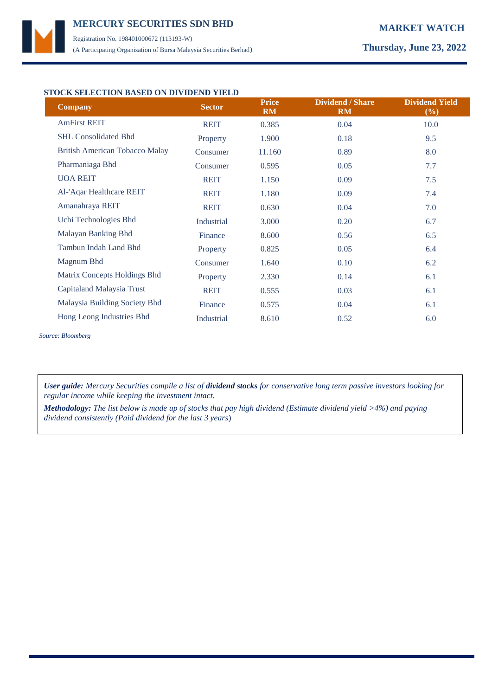

## **STOCK SELECTION BASED ON DIVIDEND YIELD**

| <b>Company</b>                        | <b>Sector</b> | <b>Price</b><br><b>RM</b> | <b>Dividend / Share</b><br><b>RM</b> | <b>Dividend Yield</b><br>(%) |
|---------------------------------------|---------------|---------------------------|--------------------------------------|------------------------------|
| <b>AmFirst REIT</b>                   | <b>REIT</b>   | 0.385                     | 0.04                                 | 10.0                         |
| <b>SHL Consolidated Bhd</b>           | Property      | 1.900                     | 0.18                                 | 9.5                          |
| <b>British American Tobacco Malay</b> | Consumer      | 11.160                    | 0.89                                 | 8.0                          |
| Pharmaniaga Bhd                       | Consumer      | 0.595                     | 0.05                                 | 7.7                          |
| <b>UOA REIT</b>                       | <b>REIT</b>   | 1.150                     | 0.09                                 | 7.5                          |
| Al-'Aqar Healthcare REIT              | <b>REIT</b>   | 1.180                     | 0.09                                 | 7.4                          |
| Amanahraya REIT                       | <b>REIT</b>   | 0.630                     | 0.04                                 | 7.0                          |
| Uchi Technologies Bhd                 | Industrial    | 3.000                     | 0.20                                 | 6.7                          |
| Malayan Banking Bhd                   | Finance       | 8.600                     | 0.56                                 | 6.5                          |
| Tambun Indah Land Bhd                 | Property      | 0.825                     | 0.05                                 | 6.4                          |
| Magnum Bhd                            | Consumer      | 1.640                     | 0.10                                 | 6.2                          |
| Matrix Concepts Holdings Bhd          | Property      | 2.330                     | 0.14                                 | 6.1                          |
| Capitaland Malaysia Trust             | <b>REIT</b>   | 0.555                     | 0.03                                 | 6.1                          |
| Malaysia Building Society Bhd         | Finance       | 0.575                     | 0.04                                 | 6.1                          |
| Hong Leong Industries Bhd             | Industrial    | 8.610                     | 0.52                                 | 6.0                          |

*Source: Bloomberg*

*User guide: Mercury Securities compile a list of dividend stocks for conservative long term passive investors looking for regular income while keeping the investment intact.*

*Methodology: The list below is made up of stocks that pay high dividend (Estimate dividend yield >4%) and paying dividend consistently (Paid dividend for the last 3 years*)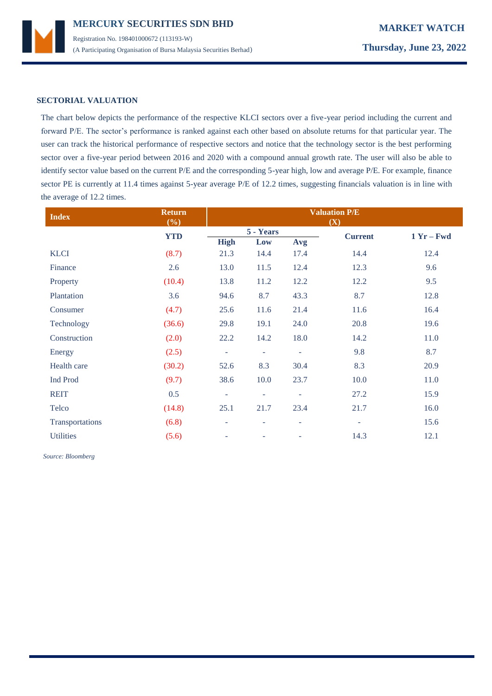

### **SECTORIAL VALUATION**

The chart below depicts the performance of the respective KLCI sectors over a five-year period including the current and forward P/E. The sector's performance is ranked against each other based on absolute returns for that particular year. The user can track the historical performance of respective sectors and notice that the technology sector is the best performing sector over a five-year period between 2016 and 2020 with a compound annual growth rate. The user will also be able to identify sector value based on the current P/E and the corresponding 5-year high, low and average P/E. For example, finance sector PE is currently at 11.4 times against 5-year average P/E of 12.2 times, suggesting financials valuation is in line with the average of 12.2 times.

| <b>Index</b>     | <b>Return</b><br>(%) | <b>Valuation P/E</b><br>(X) |                          |                          |                          |              |
|------------------|----------------------|-----------------------------|--------------------------|--------------------------|--------------------------|--------------|
|                  | <b>YTD</b>           |                             | 5 - Years                |                          | <b>Current</b>           | $1 Yr - Fwd$ |
|                  |                      | <b>High</b>                 | Low                      | Avg                      |                          |              |
| <b>KLCI</b>      | (8.7)                | 21.3                        | 14.4                     | 17.4                     | 14.4                     | 12.4         |
| Finance          | 2.6                  | 13.0                        | 11.5                     | 12.4                     | 12.3                     | 9.6          |
| Property         | (10.4)               | 13.8                        | 11.2                     | 12.2                     | 12.2                     | 9.5          |
| Plantation       | 3.6                  | 94.6                        | 8.7                      | 43.3                     | 8.7                      | 12.8         |
| Consumer         | (4.7)                | 25.6                        | 11.6                     | 21.4                     | 11.6                     | 16.4         |
| Technology       | (36.6)               | 29.8                        | 19.1                     | 24.0                     | 20.8                     | 19.6         |
| Construction     | (2.0)                | 22.2                        | 14.2                     | 18.0                     | 14.2                     | 11.0         |
| Energy           | (2.5)                | $\overline{\phantom{a}}$    | ÷                        | $\overline{\phantom{a}}$ | 9.8                      | 8.7          |
| Health care      | (30.2)               | 52.6                        | 8.3                      | 30.4                     | 8.3                      | 20.9         |
| <b>Ind Prod</b>  | (9.7)                | 38.6                        | 10.0                     | 23.7                     | 10.0                     | 11.0         |
| <b>REIT</b>      | 0.5                  | ۰                           | ÷                        | ٠                        | 27.2                     | 15.9         |
| Telco            | (14.8)               | 25.1                        | 21.7                     | 23.4                     | 21.7                     | 16.0         |
| Transportations  | (6.8)                | ۰                           | $\overline{\phantom{a}}$ | ٠                        | $\overline{\phantom{a}}$ | 15.6         |
| <b>Utilities</b> | (5.6)                | $\overline{\phantom{a}}$    |                          | ٠                        | 14.3                     | 12.1         |

 *Source: Bloomberg*